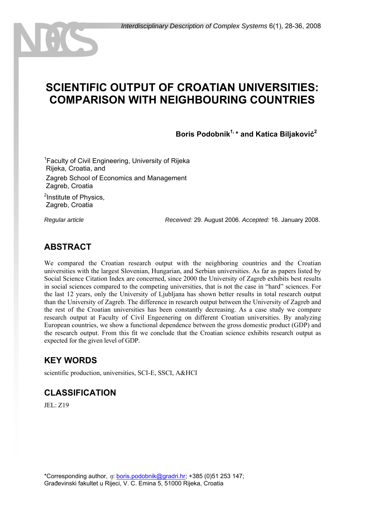# **SCIENTIFIC OUTPUT OF CROATIAN UNIVERSITIES: COMPARISON WITH NEIGHBOURING COUNTRIES**

**Boris Podobnik1, \* and Katica Biljaković<sup>2</sup>**

<sup>1</sup> Faculty of Civil Engineering, University of Rijeka Rijeka, Croatia, and Zagreb School of Economics and Management Zagreb, Croatia

<sup>2</sup>Institute of Physics, Zagreb, Croatia

*Regular article Received:* 29. August 2006. *Accepted:* 16. January 2008.

## **ABSTRACT**

We compared the Croatian research output with the neighboring countries and the Croatian universities with the largest Slovenian, Hungarian, and Serbian universities. As far as papers listed by Social Science Citation Index are concerned, since 2000 the University of Zagreb exhibits best results in social sciences compared to the competing universities, that is not the case in "hard" sciences. For the last 12 years, only the University of Ljubljana has shown better results in total research output than the University of Zagreb. The difference in research output between the University of Zagreb and the rest of the Croatian universities has been constantly decreasing. As a case study we compare research output at Faculty of Civil Engeenering on different Croatian universities. By analyzing European countries, we show a functional dependence between the gross domestic product (GDP) and the research output. From this fit we conclude that the Croatian science exhibits research output as expected for the given level of GDP.

### **KEY WORDS**

scientific production, universities, SCI-E, SSCI, A&HCI

### **CLASSIFICATION**

JEL: Z19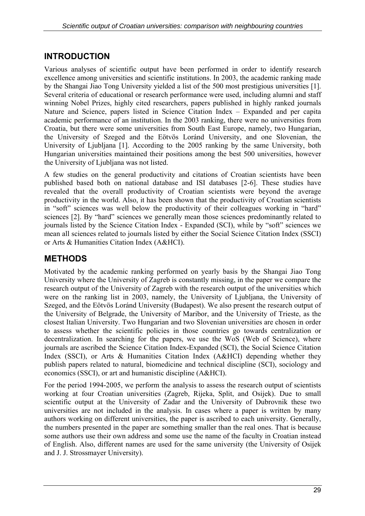## **INTRODUCTION**

Various analyses of scientific output have been performed in order to identify research excellence among universities and scientific institutions. In 2003, the academic ranking made by the Shangai Jiao Tong University yielded a list of the 500 most prestigious universities [1]. Several criteria of educational or research performance were used, including alumni and staff winning Nobel Prizes, highly cited researchers, papers published in highly ranked journals Nature and Science, papers listed in Science Citation Index – Expanded and per capita academic performance of an institution. In the 2003 ranking, there were no universities from Croatia, but there were some universities from South East Europe, namely, two Hungarian, the University of Szeged and the Eötvös Loránd University, and one Slovenian, the University of Ljubljana [1]. According to the 2005 ranking by the same University, both Hungarian universities maintained their positions among the best 500 universities, however the University of Ljubljana was not listed.

A few studies on the general productivity and citations of Croatian scientists have been published based both on national database and ISI databases [2-6]. These studies have revealed that the overall productivity of Croatian scientists were beyond the average productivity in the world. Also, it has been shown that the productivity of Croatian scientists in "soft" sciences was well below the productivity of their colleagues working in "hard" sciences [2]. By "hard" sciences we generally mean those sciences predominantly related to journals listed by the Science Citation Index - Expanded (SCI), while by "soft" sciences we mean all sciences related to journals listed by either the Social Science Citation Index (SSCI) or Arts & Humanities Citation Index (A&HCI).

## **METHODS**

Motivated by the academic ranking performed on yearly basis by the Shangai Jiao Tong University where the University of Zagreb is constantly missing, in the paper we compare the research output of the University of Zagreb with the research output of the universities which were on the ranking list in 2003, namely, the University of Ljubljana, the University of Szeged, and the Eötvös Loránd University (Budapest). We also present the research output of the University of Belgrade, the University of Maribor, and the University of Trieste, as the closest Italian University. Two Hungarian and two Slovenian universities are chosen in order to assess whether the scientific policies in those countries go towards centralization or decentralization. In searching for the papers, we use the WoS (Web of Science), where journals are ascribed the Science Citation Index-Expanded (SCI), the Social Science Citation Index (SSCI), or Arts & Humanities Citation Index (A&HCI) depending whether they publish papers related to natural, biomedicine and technical discipline (SCI), sociology and economics (SSCI), or art and humanistic discipline (A&HCI).

For the period 1994-2005, we perform the analysis to assess the research output of scientists working at four Croatian universities (Zagreb, Rijeka, Split, and Osijek). Due to small scientific output at the University of Zadar and the University of Dubrovnik these two universities are not included in the analysis. In cases where a paper is written by many authors working on different universities, the paper is ascribed to each university. Generally, the numbers presented in the paper are something smaller than the real ones. That is because some authors use their own address and some use the name of the faculty in Croatian instead of English. Also, different names are used for the same university (the University of Osijek and J. J. Strossmayer University).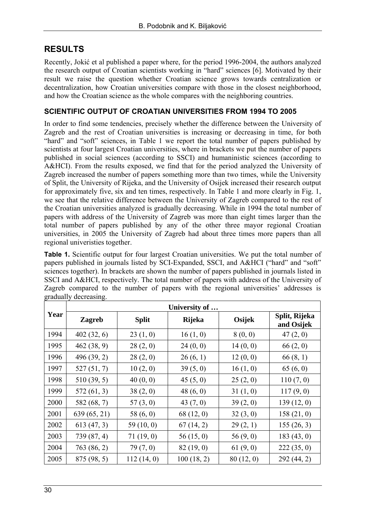## **RESULTS**

Recently, Jokić et al published a paper where, for the period 1996-2004, the authors analyzed the research output of Croatian scientists working in "hard" sciences [6]. Motivated by their result we raise the question whether Croatian science grows towards centralization or decentralization, how Croatian universities compare with those in the closest neighborhood, and how the Croatian science as the whole compares with the neighboring countries.

## **SCIENTIFIC OUTPUT OF CROATIAN UNIVERSITIES FROM 1994 TO 2005**

In order to find some tendencies, precisely whether the difference between the University of Zagreb and the rest of Croatian universities is increasing or decreasing in time, for both "hard" and "soft" sciences, in Table 1 we report the total number of papers published by scientists at four largest Croatian universities, where in brackets we put the number of papers published in social sciences (according to SSCI) and humaninistic sciences (according to A&HCI). From the results exposed, we find that for the period analyzed the University of Zagreb increased the number of papers something more than two times, while the University of Split, the University of Rijeka, and the University of Osijek increased their research output for approximately five, six and ten times, respectively. In Table 1 and more clearly in Fig. 1, we see that the relative difference between the University of Zagreb compared to the rest of the Croatian universities analyzed is gradually decreasing. While in 1994 the total number of papers with address of the University of Zagreb was more than eight times larger than the total number of papers published by any of the other three mayor regional Croatian universities, in 2005 the University of Zagreb had about three times more papers than all regional univeristies together.

**Table 1.** Scientific output for four largest Croatian universities. We put the total number of papers published in journals listed by SCI-Expanded, SSCI, and A&HCI ("hard" and "soft" sciences together). In brackets are shown the number of papers published in journals listed in SSCI and A&HCI, respectively. The total number of papers with address of the University of Zagreb compared to the number of papers with the regional universities' addresses is gradually decreasing.

| Year | University of |              |               |           |                             |  |  |
|------|---------------|--------------|---------------|-----------|-----------------------------|--|--|
|      | <b>Zagreb</b> | <b>Split</b> | <b>Rijeka</b> | Osijek    | Split, Rijeka<br>and Osijek |  |  |
| 1994 | 402(32, 6)    | 23(1, 0)     | 16(1, 0)      | 8(0, 0)   | 47(2, 0)                    |  |  |
| 1995 | 462(38, 9)    | 28(2, 0)     | 24(0, 0)      | 14(0, 0)  | 66(2, 0)                    |  |  |
| 1996 | 496 (39, 2)   | 28(2, 0)     | 26(6, 1)      | 12(0, 0)  | 66(8, 1)                    |  |  |
| 1997 | 527(51, 7)    | 10(2, 0)     | 39(5, 0)      | 16(1, 0)  | 65(6, 0)                    |  |  |
| 1998 | 510(39, 5)    | 40(0, 0)     | 45(5, 0)      | 25(2, 0)  | 110(7, 0)                   |  |  |
| 1999 | 572(61, 3)    | 38(2, 0)     | 48(6, 0)      | 31(1, 0)  | 117(9, 0)                   |  |  |
| 2000 | 582 (68, 7)   | 57(3, 0)     | 43 $(7, 0)$   | 39(2, 0)  | 139(12, 0)                  |  |  |
| 2001 | 639 (65, 21)  | 58 $(6, 0)$  | 68(12, 0)     | 32(3, 0)  | 158(21, 0)                  |  |  |
| 2002 | 613(47, 3)    | 59(10, 0)    | 67(14, 2)     | 29(2, 1)  | 155(26, 3)                  |  |  |
| 2003 | 739 (87, 4)   | 71(19, 0)    | 56(15, 0)     | 56(9, 0)  | 183(43, 0)                  |  |  |
| 2004 | 763(86, 2)    | 79(7, 0)     | 82(19, 0)     | 61(9, 0)  | 222(35, 0)                  |  |  |
| 2005 | 875 (98, 5)   | 112(14, 0)   | 100(18, 2)    | 80(12, 0) | 292(44, 2)                  |  |  |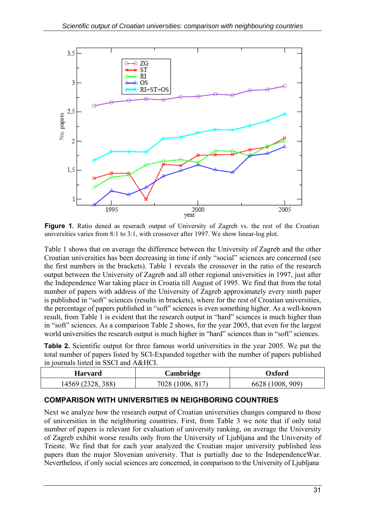

**Figure 1.** Ratio dened as reserach output of University of Zagreb vs. the rest of the Croatian universities varies from 8:1 to 3:1, with crossover after 1997. We show linear-log plot.

Table 1 shows that on average the difference between the University of Zagreb and the other Croatian universities has been decreasing in time if only "social" sciences are concerned (see the first numbers in the brackets). Table 1 reveals the crossover in the ratio of the research output between the University of Zagreb and all other regional universities in 1997, just after the Independence War taking place in Croatia till August of 1995. We find that from the total number of papers with address of the University of Zagreb approximately every ninth paper is published in "soft" sciences (results in brackets), where for the rest of Croatian universities, the percentage of papers published in "soft" sciences is even something higher. As a well-known result, from Table 1 is evident that the research output in "hard" sciences is much higher than in "soft" sciences. As a comparison Table 2 shows, for the year 2005, that even for the largest world universities the research output is much higher in "hard" sciences than in "soft" sciences.

**Table 2.** Scientific output for three famous world universities in the year 2005. We put the total number of papers listed by SCI-Expanded together with the number of papers published in journals listed in SSCI and A&HCI.

| <b>Harvard</b> | Cambridge | Oxford |
|----------------|-----------|--------|
| 388            | $7028$ .  | 909)   |
| 14569          | ١h        | 6628   |

#### **COMPARISON WITH UNIVERSITIES IN NEIGHBORING COUNTRIES**

Next we analyze how the research output of Croatian universities changes compared to those of universities in the neighboring countries. First, from Table 3 we note that if only total number of papers is relevant for evaluation of university ranking, on average the University of Zagreb exhibit worse results only from the University of Ljubljana and the University of Trieste. We find that for each year analyzed the Croatian major university published less papers than the major Slovenian university. That is partially due to the IndependenceWar. Nevertheless, if only social sciences are concerned, in comparison to the University of Ljubljana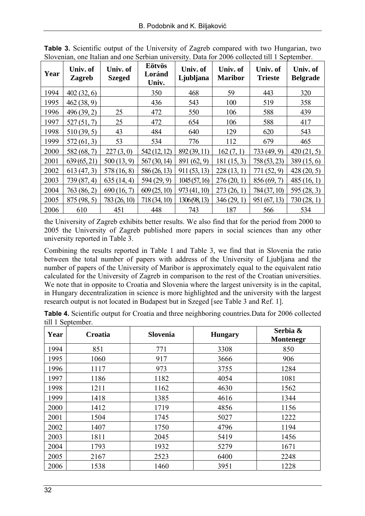| Year | Univ. of<br><b>Zagreb</b> | Univ. of<br><b>Szeged</b> | Eötvös<br>Loránd<br>Univ. | Univ. of<br>Ljubljana | Univ. of<br><b>Maribor</b> | Univ. of<br><b>Trieste</b> | Univ. of<br><b>Belgrade</b> |
|------|---------------------------|---------------------------|---------------------------|-----------------------|----------------------------|----------------------------|-----------------------------|
| 1994 | 402(32, 6)                |                           | 350                       | 468                   | 59                         | 443                        | 320                         |
| 1995 | 462(38, 9)                |                           | 436                       | 543                   | 100                        | 519                        | 358                         |
| 1996 | 496(39,2)                 | 25                        | 472                       | 550                   | 106                        | 588                        | 439                         |
| 1997 | 527(51,7)                 | 25                        | 472                       | 654                   | 106                        | 588                        | 417                         |
| 1998 | 510(39, 5)                | 43                        | 484                       | 640                   | 129                        | 620                        | 543                         |
| 1999 | 572(61, 3)                | 53                        | 534                       | 776                   | 112                        | 679                        | 465                         |
| 2000 | 582(68,7)                 | 227(3,0)                  | 542(12, 12)               | 892 (39, 11)          | 162(7, 1)                  | 733(49, 9)                 | 420(21, 5)                  |
| 2001 | 639(65,21)                | 500(13, 9)                | 567(30, 14)               | 891 (62, 9)           | 181(15,3)                  | 758(53,23)                 | 389(15,6)                   |
| 2002 | 613(47,3)                 | 578 (16, 8)               | 586(26, 13)               | 911(53, 13)           | 228(13, 1)                 | 771 (52, 9)                | 428(20, 5)                  |
| 2003 | 739(87, 4)                | 635(14, 4)                | 594 (29, 9)               | 1045(57, 16)          | 276(20, 1)                 | 856(69,7)                  | 485(16, 1)                  |
| 2004 | 763(86,2)                 | 690(16, 7)                | 609(25, 10)               | 973(41, 10)           | 273(26, 1)                 | 784 (37, 10)               | 595(28, 3)                  |
| 2005 | 875(98, 5)                | 783 (26, 10)              | 718(34, 10)               | 1306 (98, 13)         | 346(29, 1)                 | 951(67, 13)                | 730(28, 1)                  |
| 2006 | 610                       | 451                       | 448                       | 743                   | 187                        | 566                        | 534                         |

**Table 3.** Scientific output of the University of Zagreb compared with two Hungarian, two Slovenian, one Italian and one Serbian university. Data for 2006 collected till 1 September.

the University of Zagreb exhibits better results. We also find that for the period from 2000 to 2005 the University of Zagreb published more papers in social sciences than any other university reported in Table 3.

Combining the results reported in Table 1 and Table 3, we find that in Slovenia the ratio between the total number of papers with address of the University of Ljubljana and the number of papers of the University of Maribor is approximately equal to the equivalent ratio calculated for the University of Zagreb in comparison to the rest of the Croatian universities. We note that in opposite to Croatia and Slovenia where the largest university is in the capital, in Hungary decentralization in science is more highlighted and the university with the largest research output is not located in Budapest but in Szeged [see Table 3 and Ref. 1].

**Table 4.** Scientific output for Croatia and three neighboring countries.Data for 2006 collected till 1 September.

| Year | Croatia | <b>Slovenia</b> | <b>Hungary</b> | Serbia &<br><b>Montenegr</b> |
|------|---------|-----------------|----------------|------------------------------|
| 1994 | 851     | 771             | 3308           | 850                          |
| 1995 | 1060    | 917             | 3666           | 906                          |
| 1996 | 1117    | 973             | 3755           | 1284                         |
| 1997 | 1186    | 1182            | 4054           | 1081                         |
| 1998 | 1211    | 1162            | 4630           | 1562                         |
| 1999 | 1418    | 1385            | 4616           | 1344                         |
| 2000 | 1412    | 1719            | 4856           | 1156                         |
| 2001 | 1504    | 1745            | 5027           | 1222                         |
| 2002 | 1407    | 1750            | 4796           | 1194                         |
| 2003 | 1811    | 2045            | 5419           | 1456                         |
| 2004 | 1793    | 1932            | 5279           | 1671                         |
| 2005 | 2167    | 2523            | 6400           | 2248                         |
| 2006 | 1538    | 1460            | 3951           | 1228                         |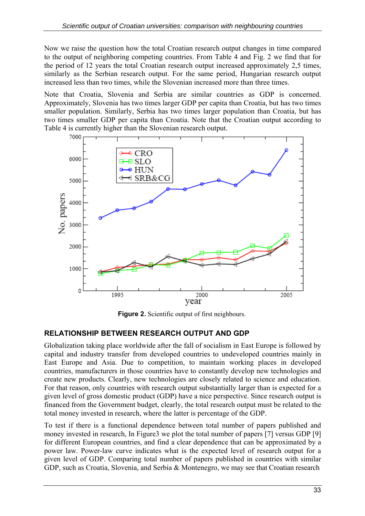Now we raise the question how the total Croatian research output changes in time compared to the output of neighboring competing countries. From Table 4 and Fig. 2 we find that for the period of 12 years the total Croatian research output increased approximately 2,5 times, similarly as the Serbian research output. For the same period, Hungarian research output increased less than two times, while the Slovenian increased more than three times.

Note that Croatia, Slovenia and Serbia are similar countries as GDP is concerned. Approximately, Slovenia has two times larger GDP per capita than Croatia, but has two times smaller population. Similarly, Serbia has two times larger population than Croatia, but has two times smaller GDP per capita than Croatia. Note that the Croatian output according to Table 4 is currently higher than the Slovenian research output.



**Figure 2.** Scientific output of first neighbours.

### **RELATIONSHIP BETWEEN RESEARCH OUTPUT AND GDP**

Globalization taking place worldwide after the fall of socialism in East Europe is followed by capital and industry transfer from developed countries to undeveloped countries mainly in East Europe and Asia. Due to competition, to maintain working places in developed countries, manufacturers in those countries have to constantly develop new technologies and create new products. Clearly, new technologies are closely related to science and education. For that reason, only countries with research output substantially larger than is expected for a given level of gross domestic product (GDP) have a nice perspective. Since research output is financed from the Government budget, clearly, the total research output must be related to the total money invested in research, where the latter is percentage of the GDP.

To test if there is a functional dependence between total number of papers published and money invested in research, In Figure 3 we plot the total number of papers [7] versus GDP [9] for different European countries, and find a clear dependence that can be approximated by a power law. Power-law curve indicates what is the expected level of research output for a given level of GDP. Comparing total number of papers published in countries with similar GDP, such as Croatia, Slovenia, and Serbia & Montenegro, we may see that Croatian research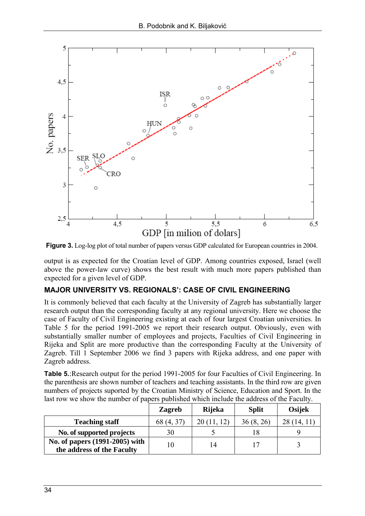

**Figure 3.** Log-log plot of total number of papers versus GDP calculated for European countries in 2004.

output is as expected for the Croatian level of GDP. Among countries exposed, Israel (well above the power-law curve) shows the best result with much more papers published than expected for a given level of GDP.

### **MAJOR UNIVERSITY VS. REGIONALS': CASE OF CIVIL ENGINEERING**

It is commonly believed that each faculty at the University of Zagreb has substantially larger research output than the corresponding faculty at any regional university. Here we choose the case of Faculty of Civil Engineering existing at each of four largest Croatian universities. In Table 5 for the period 1991-2005 we report their research output. Obviously, even with substantially smaller number of employees and projects, Faculties of Civil Engineering in Rijeka and Split are more productive than the corresponding Faculty at the University of Zagreb. Till 1 September 2006 we find 3 papers with Rijeka address, and one paper with Zagreb address.

**Table 5.**:Research output for the period 1991-2005 for four Faculties of Civil Engineering. In the parenthesis are shown number of teachers and teaching assistants. In the third row are given numbers of projects suported by the Croatian Ministry of Science, Education and Sport. In the last row we show the number of papers published which include the address of the Faculty.

|                                | <b>Zagreb</b> | <b>Rijeka</b> | <b>Split</b> | Osijek |
|--------------------------------|---------------|---------------|--------------|--------|
| <b>Teaching staff</b>          | 68 (4, 37)    |               | 36(8, 26)    | 14.    |
| No. of supported projects      | 30            |               |              |        |
| No. of papers (1991-2005) with | 10            | 14            |              |        |
| the address of the Faculty     |               |               |              |        |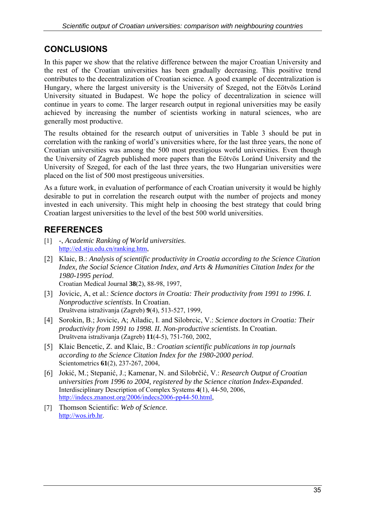## **CONCLUSIONS**

In this paper we show that the relative difference between the major Croatian University and the rest of the Croatian universities has been gradually decreasing. This positive trend contributes to the decentralization of Croatian science. A good example of decentralization is Hungary, where the largest university is the University of Szeged, not the Eötvös Loránd University situated in Budapest. We hope the policy of decentralization in science will continue in years to come. The larger research output in regional universities may be easily achieved by increasing the number of scientists working in natural sciences, who are generally most productive.

The results obtained for the research output of universities in Table 3 should be put in correlation with the ranking of world's universities where, for the last three years, the none of Croatian universities was among the 500 most prestigious world universities. Even though the University of Zagreb published more papers than the Eötvös Loránd University and the University of Szeged, for each of the last three years, the two Hungarian universities were placed on the list of 500 most prestigeous universities.

As a future work, in evaluation of performance of each Croatian university it would be highly desirable to put in correlation the research output with the number of projects and money invested in each university. This might help in choosing the best strategy that could bring Croatian largest universities to the level of the best 500 world universities.

## **REFERENCES**

- [1] -, *Academic Ranking of World universities*. [http://ed.stju.edu.cn/ranking.htm,](http://ed.stju.edu.cn/ranking.htm)
- [2] Klaic, B.: *Analysis of scientific productivity in Croatia according to the Science Citation Index, the Social Science Citation Index, and Arts & Humanities Citation Index for the 1980-1995 period*. Croatian Medical Journal **38**(2), 88-98, 1997,

[3] Jovicic, A, et al.: *Science doctors in Croatia: Their productivity from 1991 to 1996. I. Nonproductive scientists*. In Croatian.

Društvena istraživanja (Zagreb) **9**(4), 513-527, 1999,

- [4] Sorokin, B.; Jovicic, A; Ailadic, I. and Silobrcic, V.: *Science doctors in Croatia: Their productivity from 1991 to 1998. II. Non-productive scientists*. In Croatian. Društvena istraživanja (Zagreb) **11**(4-5), 751-760, 2002,
- [5] Klaic Bencetic, Z. and Klaic, B.: *Croatian scientific publications in top journals according to the Science Citation Index for the 1980-2000 period*. Scientometrics **61**(2), 237-267, 2004,
- [6] Jokić, M.; Stepanić, J.; Kamenar, N. and Silobrčić, V.: *Research Output of Croatian universities from 1996 to 2004, registered by the Science citation Index-Expanded*. Interdisciplinary Description of Complex Systems **4**(1), 44-50, 2006, [http://indecs.znanost.org/2006/indecs2006-pp44-50.html,](http://indecs.znanost.org/2006/indecs2006-pp44-50.html)
- [7] Thomson Scientific: *Web of Science*. [http://wos.irb.hr.](http://wos.irb.hr)